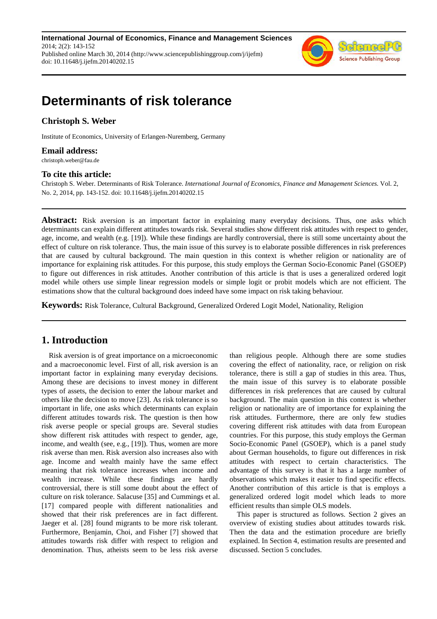**International Journal of Economics, Finance and Management Sciences** 2014; 2(2): 143-152 Published online March 30, 2014 (http://www.sciencepublishinggroup.com/j/ijefm) doi: 10.11648/j.ijefm.20140202.15



# **Determinants of risk tolerance**

## **Christoph S. Weber**

Institute of Economics, University of Erlangen-Nuremberg, Germany

### **Email address:**

christoph.weber@fau.de

#### **To cite this article:**

Christoph S. Weber. Determinants of Risk Tolerance. *International Journal of Economics, Finance and Management Sciences.* Vol. 2, No. 2, 2014, pp. 143-152. doi: 10.11648/j.ijefm.20140202.15

**Abstract:** Risk aversion is an important factor in explaining many everyday decisions. Thus, one asks which determinants can explain different attitudes towards risk. Several studies show different risk attitudes with respect to gender, age, income, and wealth (e.g. [19]). While these findings are hardly controversial, there is still some uncertainty about the effect of culture on risk tolerance. Thus, the main issue of this survey is to elaborate possible differences in risk preferences that are caused by cultural background. The main question in this context is whether religion or nationality are of importance for explaining risk attitudes. For this purpose, this study employs the German Socio-Economic Panel (GSOEP) to figure out differences in risk attitudes. Another contribution of this article is that is uses a generalized ordered logit model while others use simple linear regression models or simple logit or probit models which are not efficient. The estimations show that the cultural background does indeed have some impact on risk taking behaviour.

**Keywords:** Risk Tolerance, Cultural Background, Generalized Ordered Logit Model, Nationality, Religion

# **1. Introduction**

Risk aversion is of great importance on a microeconomic and a macroeconomic level. First of all, risk aversion is an important factor in explaining many everyday decisions. Among these are decisions to invest money in different types of assets, the decision to enter the labour market and others like the decision to move [23]. As risk tolerance is so important in life, one asks which determinants can explain different attitudes towards risk. The question is then how risk averse people or special groups are. Several studies show different risk attitudes with respect to gender, age, income, and wealth (see, e.g., [19]). Thus, women are more risk averse than men. Risk aversion also increases also with age. Income and wealth mainly have the same effect meaning that risk tolerance increases when income and wealth increase. While these findings are hardly controversial, there is still some doubt about the effect of culture on risk tolerance. Salacuse [35] and Cummings et al. [17] compared people with different nationalities and showed that their risk preferences are in fact different. Jaeger et al. [28] found migrants to be more risk tolerant. Furthermore, Benjamin, Choi, and Fisher [7] showed that attitudes towards risk differ with respect to religion and denomination. Thus, atheists seem to be less risk averse

than religious people. Although there are some studies covering the effect of nationality, race, or religion on risk tolerance, there is still a gap of studies in this area. Thus, the main issue of this survey is to elaborate possible differences in risk preferences that are caused by cultural background. The main question in this context is whether religion or nationality are of importance for explaining the risk attitudes. Furthermore, there are only few studies covering different risk attitudes with data from European countries. For this purpose, this study employs the German Socio-Economic Panel (GSOEP), which is a panel study about German households, to figure out differences in risk attitudes with respect to certain characteristics. The advantage of this survey is that it has a large number of observations which makes it easier to find specific effects. Another contribution of this article is that is employs a generalized ordered logit model which leads to more efficient results than simple OLS models.

This paper is structured as follows. Section 2 gives an overview of existing studies about attitudes towards risk. Then the data and the estimation procedure are briefly explained. In Section 4, estimation results are presented and discussed. Section 5 concludes.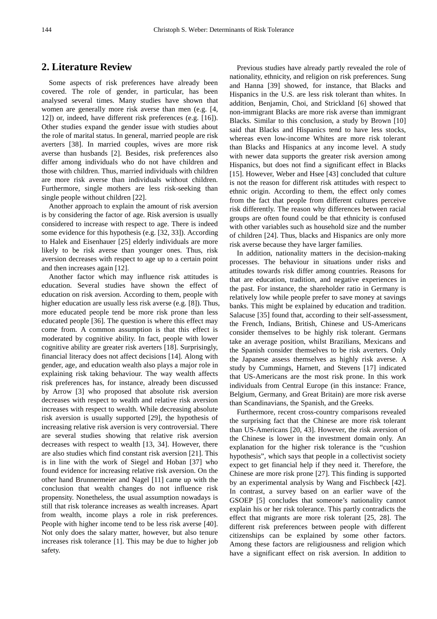## **2. Literature Review**

Some aspects of risk preferences have already been covered. The role of gender, in particular, has been analysed several times. Many studies have shown that women are generally more risk averse than men (e.g. [4, 12]) or, indeed, have different risk preferences (e.g. [16]). Other studies expand the gender issue with studies about the role of marital status. In general, married people are risk averters [38]. In married couples, wives are more risk averse than husbands [2]. Besides, risk preferences also differ among individuals who do not have children and those with children. Thus, married individuals with children are more risk averse than individuals without children. Furthermore, single mothers are less risk-seeking than single people without children [22].

Another approach to explain the amount of risk aversion is by considering the factor of age. Risk aversion is usually considered to increase with respect to age. There is indeed some evidence for this hypothesis (e.g. [32, 33]). According to Halek and Eisenhauer [25] elderly individuals are more likely to be risk averse than younger ones. Thus, risk aversion decreases with respect to age up to a certain point and then increases again [12].

Another factor which may influence risk attitudes is education. Several studies have shown the effect of education on risk aversion. According to them, people with higher education are usually less risk averse (e.g. [8]). Thus, more educated people tend be more risk prone than less educated people [36]. The question is where this effect may come from. A common assumption is that this effect is moderated by cognitive ability. In fact, people with lower cognitive ability are greater risk averters [18]. Surprisingly, financial literacy does not affect decisions [14]. Along with gender, age, and education wealth also plays a major role in explaining risk taking behaviour. The way wealth affects risk preferences has, for instance, already been discussed by Arrow [3] who proposed that absolute risk aversion decreases with respect to wealth and relative risk aversion increases with respect to wealth. While decreasing absolute risk aversion is usually supported [29], the hypothesis of increasing relative risk aversion is very controversial. There are several studies showing that relative risk aversion decreases with respect to wealth [13, 34]. However, there are also studies which find constant risk aversion [21]. This is in line with the work of Siegel and Hoban [37] who found evidence for increasing relative risk aversion. On the other hand Brunnermeier and Nagel [11] came up with the conclusion that wealth changes do not influence risk propensity. Nonetheless, the usual assumption nowadays is still that risk tolerance increases as wealth increases. Apart from wealth, income plays a role in risk preferences. People with higher income tend to be less risk averse [40]. Not only does the salary matter, however, but also tenure increases risk tolerance [1]. This may be due to higher job safety.

Previous studies have already partly revealed the role of nationality, ethnicity, and religion on risk preferences. Sung and Hanna [39] showed, for instance, that Blacks and Hispanics in the U.S. are less risk tolerant than whites. In addition, Benjamin, Choi, and Strickland [6] showed that non-immigrant Blacks are more risk averse than immigrant Blacks. Similar to this conclusion, a study by Brown [10] said that Blacks and Hispanics tend to have less stocks, whereas even low-income Whites are more risk tolerant than Blacks and Hispanics at any income level. A study with newer data supports the greater risk aversion among Hispanics, but does not find a significant effect in Blacks [15]. However, Weber and Hsee [43] concluded that culture is not the reason for different risk attitudes with respect to ethnic origin. According to them, the effect only comes from the fact that people from different cultures perceive risk differently. The reason why differences between racial groups are often found could be that ethnicity is confused with other variables such as household size and the number of children [24]. Thus, blacks and Hispanics are only more risk averse because they have larger families.

In addition, nationality matters in the decision-making processes. The behaviour in situations under risks and attitudes towards risk differ among countries. Reasons for that are education, tradition, and negative experiences in the past. For instance, the shareholder ratio in Germany is relatively low while people prefer to save money at savings banks. This might be explained by education and tradition. Salacuse [35] found that, according to their self-assessment, the French, Indians, British, Chinese and US-Americans consider themselves to be highly risk tolerant. Germans take an average position, whilst Brazilians, Mexicans and the Spanish consider themselves to be risk averters. Only the Japanese assess themselves as highly risk averse. A study by Cummings, Harnett, and Stevens [17] indicated that US-Americans are the most risk prone. In this work individuals from Central Europe (in this instance: France, Belgium, Germany, and Great Britain) are more risk averse than Scandinavians, the Spanish, and the Greeks.

Furthermore, recent cross-country comparisons revealed the surprising fact that the Chinese are more risk tolerant than US-Americans [20, 43]. However, the risk aversion of the Chinese is lower in the investment domain only. An explanation for the higher risk tolerance is the "cushion hypothesis", which says that people in a collectivist society expect to get financial help if they need it. Therefore, the Chinese are more risk prone [27]. This finding is supported by an experimental analysis by Wang and Fischbeck [42]. In contrast, a survey based on an earlier wave of the GSOEP [5] concludes that someone's nationality cannot explain his or her risk tolerance. This partly contradicts the effect that migrants are more risk tolerant [25, 28]. The different risk preferences between people with different citizenships can be explained by some other factors. Among these factors are religiousness and religion which have a significant effect on risk aversion. In addition to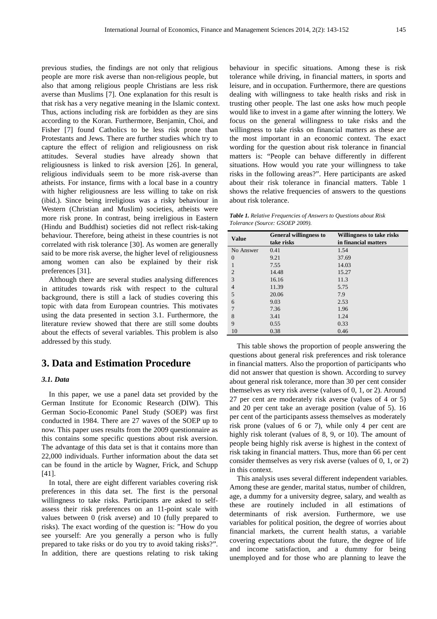previous studies, the findings are not only that religious people are more risk averse than non-religious people, but also that among religious people Christians are less risk averse than Muslims [7]. One explanation for this result is that risk has a very negative meaning in the Islamic context. Thus, actions including risk are forbidden as they are sins according to the Koran. Furthermore, Benjamin, Choi, and Fisher [7] found Catholics to be less risk prone than Protestants and Jews. There are further studies which try to capture the effect of religion and religiousness on risk attitudes. Several studies have already shown that religiousness is linked to risk aversion [26]. In general, religious individuals seem to be more risk-averse than atheists. For instance, firms with a local base in a country with higher religiousness are less willing to take on risk (ibid.). Since being irreligious was a risky behaviour in Western (Christian and Muslim) societies, atheists were more risk prone. In contrast, being irreligious in Eastern (Hindu and Buddhist) societies did not reflect risk-taking behaviour. Therefore, being atheist in these countries is not correlated with risk tolerance [30]. As women are generally said to be more risk averse, the higher level of religiousness among women can also be explained by their risk preferences [31].

Although there are several studies analysing differences in attitudes towards risk with respect to the cultural background, there is still a lack of studies covering this topic with data from European countries. This motivates using the data presented in section 3.1. Furthermore, the literature review showed that there are still some doubts about the effects of several variables. This problem is also addressed by this study.

## **3. Data and Estimation Procedure**

#### *3.1. Data*

In this paper, we use a panel data set provided by the German Institute for Economic Research (DIW). This German Socio-Economic Panel Study (SOEP) was first conducted in 1984. There are 27 waves of the SOEP up to now. This paper uses results from the 2009 questionnaire as this contains some specific questions about risk aversion. The advantage of this data set is that it contains more than 22,000 individuals. Further information about the data set can be found in the article by Wagner, Frick, and Schupp [41].

In total, there are eight different variables covering risk preferences in this data set. The first is the personal willingness to take risks. Participants are asked to selfassess their risk preferences on an 11-point scale with values between 0 (risk averse) and 10 (fully prepared to risks). The exact wording of the question is: "How do you see yourself: Are you generally a person who is fully prepared to take risks or do you try to avoid taking risks?". In addition, there are questions relating to risk taking behaviour in specific situations. Among these is risk tolerance while driving, in financial matters, in sports and leisure, and in occupation. Furthermore, there are questions dealing with willingness to take health risks and risk in trusting other people. The last one asks how much people would like to invest in a game after winning the lottery. We focus on the general willingness to take risks and the willingness to take risks on financial matters as these are the most important in an economic context. The exact wording for the question about risk tolerance in financial matters is: "People can behave differently in different situations. How would you rate your willingness to take risks in the following areas?". Here participants are asked about their risk tolerance in financial matters. Table 1 shows the relative frequencies of answers to the questions about risk tolerance.

*Table 1. Relative Frequencies of Answers to Questions about Risk Tolerance (Source: GSOEP 2009).* 

| <b>Value</b>   | <b>General willingness to</b><br>take risks | <b>Willingness to take risks</b><br>in financial matters |
|----------------|---------------------------------------------|----------------------------------------------------------|
| No Answer      | 0.41                                        | 1.54                                                     |
| $\Omega$       | 9.21                                        | 37.69                                                    |
| 1              | 7.55                                        | 14.03                                                    |
| $\overline{2}$ | 14.48                                       | 15.27                                                    |
| $\overline{3}$ | 16.16                                       | 11.3                                                     |
| $\overline{4}$ | 11.39                                       | 5.75                                                     |
| 5              | 20.06                                       | 7.9                                                      |
| 6              | 9.03                                        | 2.53                                                     |
| 7              | 7.36                                        | 1.96                                                     |
| 8              | 3.41                                        | 1.24                                                     |
| 9              | 0.55                                        | 0.33                                                     |
| 10             | 0.38                                        | 0.46                                                     |

This table shows the proportion of people answering the questions about general risk preferences and risk tolerance in financial matters. Also the proportion of participants who did not answer that question is shown. According to survey about general risk tolerance, more than 30 per cent consider themselves as very risk averse (values of 0, 1, or 2). Around 27 per cent are moderately risk averse (values of 4 or 5) and 20 per cent take an average position (value of 5). 16 per cent of the participants assess themselves as moderately risk prone (values of 6 or 7), while only 4 per cent are highly risk tolerant (values of 8, 9, or 10). The amount of people being highly risk averse is highest in the context of risk taking in financial matters. Thus, more than 66 per cent consider themselves as very risk averse (values of 0, 1, or 2) in this context.

This analysis uses several different independent variables. Among these are gender, marital status, number of children, age, a dummy for a university degree, salary, and wealth as these are routinely included in all estimations of determinants of risk aversion. Furthermore, we use variables for political position, the degree of worries about financial markets, the current health status, a variable covering expectations about the future, the degree of life and income satisfaction, and a dummy for being unemployed and for those who are planning to leave the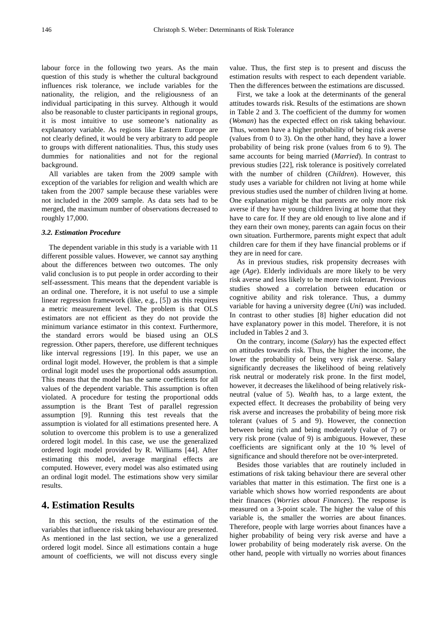labour force in the following two years. As the main question of this study is whether the cultural background influences risk tolerance, we include variables for the nationality, the religion, and the religiousness of an individual participating in this survey. Although it would also be reasonable to cluster participants in regional groups, it is most intuitive to use someone's nationality as explanatory variable. As regions like Eastern Europe are not clearly defined, it would be very arbitrary to add people to groups with different nationalities. Thus, this study uses dummies for nationalities and not for the regional background.

All variables are taken from the 2009 sample with exception of the variables for religion and wealth which are taken from the 2007 sample because these variables were not included in the 2009 sample. As data sets had to be merged, the maximum number of observations decreased to roughly 17,000.

#### *3.2. Estimation Procedure*

The dependent variable in this study is a variable with 11 different possible values. However, we cannot say anything about the differences between two outcomes. The only valid conclusion is to put people in order according to their self-assessment. This means that the dependent variable is an ordinal one. Therefore, it is not useful to use a simple linear regression framework (like, e.g., [5]) as this requires a metric measurement level. The problem is that OLS estimators are not efficient as they do not provide the minimum variance estimator in this context. Furthermore, the standard errors would be biased using an OLS regression. Other papers, therefore, use different techniques like interval regressions [19]. In this paper, we use an ordinal logit model. However, the problem is that a simple ordinal logit model uses the proportional odds assumption. This means that the model has the same coefficients for all values of the dependent variable. This assumption is often violated. A procedure for testing the proportional odds assumption is the Brant Test of parallel regression assumption [9]. Running this test reveals that the assumption is violated for all estimations presented here. A solution to overcome this problem is to use a generalized ordered logit model. In this case, we use the generalized ordered logit model provided by R. Williams [44]. After estimating this model, average marginal effects are computed. However, every model was also estimated using an ordinal logit model. The estimations show very similar results.

## **4. Estimation Results**

In this section, the results of the estimation of the variables that influence risk taking behaviour are presented. As mentioned in the last section, we use a generalized ordered logit model. Since all estimations contain a huge amount of coefficients, we will not discuss every single

value. Thus, the first step is to present and discuss the estimation results with respect to each dependent variable. Then the differences between the estimations are discussed.

First, we take a look at the determinants of the general attitudes towards risk. Results of the estimations are shown in Table 2 and 3. The coefficient of the dummy for women (*Woman*) has the expected effect on risk taking behaviour. Thus, women have a higher probability of being risk averse (values from 0 to 3). On the other hand, they have a lower probability of being risk prone (values from 6 to 9). The same accounts for being married (*Married*). In contrast to previous studies [22], risk tolerance is positively correlated with the number of children (*Children*). However, this study uses a variable for children not living at home while previous studies used the number of children living at home. One explanation might be that parents are only more risk averse if they have young children living at home that they have to care for. If they are old enough to live alone and if they earn their own money, parents can again focus on their own situation. Furthermore, parents might expect that adult children care for them if they have financial problems or if they are in need for care.

As in previous studies, risk propensity decreases with age (*Age*). Elderly individuals are more likely to be very risk averse and less likely to be more risk tolerant. Previous studies showed a correlation between education or cognitive ability and risk tolerance. Thus, a dummy variable for having a university degree (*Uni*) was included. In contrast to other studies [8] higher education did not have explanatory power in this model. Therefore, it is not included in Tables 2 and 3.

On the contrary, income (*Salary*) has the expected effect on attitudes towards risk. Thus, the higher the income, the lower the probability of being very risk averse. Salary significantly decreases the likelihood of being relatively risk neutral or moderately risk prone. In the first model, however, it decreases the likelihood of being relatively riskneutral (value of 5). *Wealth* has, to a large extent, the expected effect. It decreases the probability of being very risk averse and increases the probability of being more risk tolerant (values of 5 and 9). However, the connection between being rich and being moderately (value of 7) or very risk prone (value of 9) is ambiguous. However, these coefficients are significant only at the 10 % level of significance and should therefore not be over-interpreted.

Besides those variables that are routinely included in estimations of risk taking behaviour there are several other variables that matter in this estimation. The first one is a variable which shows how worried respondents are about their finances (*Worries about Finances*). The response is measured on a 3-point scale. The higher the value of this variable is, the smaller the worries are about finances. Therefore, people with large worries about finances have a higher probability of being very risk averse and have a lower probability of being moderately risk averse. On the other hand, people with virtually no worries about finances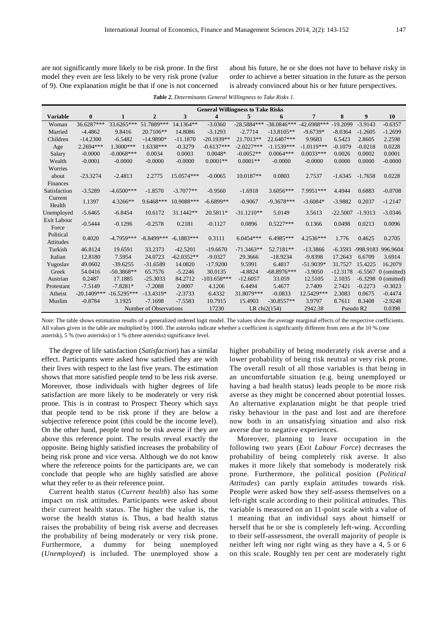are not significantly more likely to be risk prone. In the first model they even are less likely to be very risk prone (value of 9). One explanation might be that if one is not concerned about his future, he or she does not have to behave risky in order to achieve a better situation in the future as the person is already convinced about his or her future perspectives.

| <b>Table 2.</b> Determinants General Willingness to Take Risks 1. |  |  |
|-------------------------------------------------------------------|--|--|
|-------------------------------------------------------------------|--|--|

|                    | <b>General Willingness to Take Risks</b> |                   |                        |                            |                         |               |                         |                         |                       |                       |                       |
|--------------------|------------------------------------------|-------------------|------------------------|----------------------------|-------------------------|---------------|-------------------------|-------------------------|-----------------------|-----------------------|-----------------------|
| <b>Variable</b>    | $\bf{0}$                                 | $\mathbf{1}$      | $\overline{2}$         | 3                          | 4                       | 5             | 6                       | 7                       | 8                     | 9                     | 10                    |
| Woman              | 36.6287***                               | 33.6265***        | 51.7889***             | 14.1364**                  | $-3.0360$               | $-28.5884***$ | $-38.0846***$           | $-42.6988***$           | $-19.2099$            | $-3.9143$             | $-0.6357$             |
| Married            | $-4.4862$                                | 9.8416            | 20.7106**              | 14.8086                    | $-3.1293$               | $-2.7714$     | $-13.8105**$            | $-9.6739*$              | $-8.0364$             | $-1.2605$             | $-1.2699$             |
| Children           | $-14.2300$                               | $-6.5482$         | $-14.9890*$            | $-11.1870$                 | $-20.1939**$            | 21.7013**     | 22.6407***              | 9.9683                  | 6.5423                | 2.8605                | 2.2598                |
| Age                | 2.2694***                                | 1.3000***         | 1.6338***              | $-0.3279$                  | $-0.6137***$            | $-2.0227***$  | $-1.1539***$            | $-1.0119***$            | $-0.1079$             | $-0.0218$             | 0.0228                |
| Salary             | $-0.0000$                                | $-0.0068***$      | 0.0034                 | 0.0003                     | $0.0048*$               | $-0.0052**$   | $0.0064***$             | $0.0033***$             | 0.0026                | 0.0002                | 0.0001                |
| Wealth             | $-0.0001$                                | $-0.0000$         | $-0.0000$              | $-0.0000$                  | $0.0001**$              | $0.0001**$    | $-0.0000$               | $-0.0000$               | 0.0000                | 0.0000                | $-0.0000$             |
| Worries            |                                          |                   |                        |                            |                         |               |                         |                         |                       |                       |                       |
| about              | $-23.3274$                               | $-2.4813$         | 2.2775                 | 15.0574***                 | $-0.0065$               | 10.0187**     | 0.0803                  | 2.7537                  | $-1.6345$             | $-1.7658$             | 0.0228                |
| Finances           |                                          |                   |                        |                            |                         |               |                         |                         |                       |                       |                       |
| Satisfaction       | $-3.5289$                                | $-4.6500***$      | $-1.8570$              | $-3.7077**$                | $-0.9560$               | $-1.6918$     | $3.6056***$             | 7.9951***               | 4.4944                | 0.6883                | $-0.0708$             |
| Current            | 1.1397                                   | 4.3266**          | 9.6468***              | 10.9088***                 | $-6.6899**$             | $-0.9067$     | $-9.3678***$            | $-3.6084*$              | $-3.9882$             | 0.2037                | $-1.2147$             |
| Health             |                                          |                   |                        |                            |                         |               |                         |                         |                       |                       |                       |
| Unemployed         | $-5.6465$                                | $-6.8454$         | 10.6172                | 31.1442**                  | 20.5811*                | $-31.1210**$  | 5.0149                  | 3.5613                  | $-22.5007$            | $-1.9313$             | $-3.0346$             |
| Exit Labour        | $-0.5444$                                | $-0.1296$         | $-0.2578$              | 0.2181                     | $-0.1127$               | 0.0896        | $0.5227***$             | 0.1366                  | 0.0498                | 0.0213                | 0.0096                |
| Force              |                                          |                   |                        |                            |                         |               |                         |                         |                       |                       |                       |
| Political          | 0.4020                                   | $-4.7959***$      | $-8.8499***$           | $-6.1883***$               | 0.3111                  | $6.0454***$   | 6.4985***               | 4.2536***               | 1.776                 | 0.4625                | 0.2705                |
| Attitudes          |                                          |                   |                        |                            |                         | $-71.3463**$  |                         |                         |                       |                       | 996.9604              |
| Turkish<br>Italian | 46.8124<br>12.8180                       | 19.6591<br>7.5954 | 33.2373<br>24.0723     | $-42.5201$<br>$-62.0352**$ | $-19.6670$<br>$-9.0327$ | 29.3666       | 52.7181**<br>$-18.9234$ | $-13.3866$<br>$-9.8398$ | $-6.3593$<br>17.2643  | $-998.9183$<br>6.6709 | 3.6914                |
|                    |                                          |                   |                        | 14.0820                    |                         |               | 6.4817                  |                         | 31.7527               | 15.4225               | 16.2079               |
| Yugoslav           | 49.0602                                  | $-39.6255$        | $-31.6589$             |                            | $-17.9200$<br>30.0135   | 9.5991        | $-68.8976***$           | $-51.9039*$             |                       |                       |                       |
| Greek              | 54.0416                                  | $-50.3868**$      | 65.7576                | $-5.2246$                  |                         | $-4.8824$     |                         | $-3.9050$               | $-12.3178$            | $-6.5567$             | 0 (omitted)           |
| Austrian           | 0.2487                                   | 17.1885           | $-25.3033$             | 84.2712                    | $-103.658***$           | $-12.6057$    | 33.059                  | 12.5105                 | 2.1035                |                       | $-6.3298$ 0 (omitted) |
| Protestant         | $-7.5149$                                | $-7.8281*$        | $-7.2088$              | 2.0007                     | 4.1206                  | 6.4494        | 5.4677                  | 2.7409                  | 2.7421                | $-0.2273$             | $-0.3023$             |
| Atheist            | $-20.1409***$                            | $-16.5295***$     | $-13.4319*$            | $-2.3733$                  | 6.4332                  | 31.8079***    | $-0.0833$               | 12.5429***              | 2.3083                | 0.0675                | $-0.4474$             |
| Muslim             | $-0.8784$                                | 3.1925            | $-7.1698$              | $-7.5583$                  | 10.7915                 | 15.4903       | $-30.8557**$            | 3.9797                  | 8.7611                | 8.3408                | $-2.9248$             |
|                    |                                          |                   | Number of Observations |                            | 17230                   |               | LR chi $2(154)$         | 2942.38                 | Pseudo R <sub>2</sub> |                       | 0.0398                |

Note: The table shows estimation results of a generalized ordered logit model. The values show the average marginal effects of the respective coefficients. All values given in the table are multiplied by 1000. The asterisks indicate whether a coefficient is significantly different from zero at the 10 % (one asterisk), 5 % (two asterisks) or 1 % (three asterisks) significance level.

The degree of life satisfaction (*Satisfaction*) has a similar effect. Participants were asked how satisfied they are with their lives with respect to the last five years. The estimation shows that more satisfied people tend to be less risk averse. Moreover, those individuals with higher degrees of life satisfaction are more likely to be moderately or very risk prone. This is in contrast to Prospect Theory which says that people tend to be risk prone if they are below a subjective reference point (this could be the income level). On the other hand, people tend to be risk averse if they are above this reference point. The results reveal exactly the opposite. Being highly satisfied increases the probability of being risk prone and vice versa. Although we do not know where the reference points for the participants are, we can conclude that people who are highly satisfied are above what they refer to as their reference point.

Current health status (*Current health*) also has some impact on risk attitudes. Participants were asked about their current health status. The higher the value is, the worse the health status is. Thus, a bad health status raises the probability of being risk averse and decreases the probability of being moderately or very risk prone. Furthermore, a dummy for being unemployed (*Unemployed*) is included. The unemployed show a

higher probability of being moderately risk averse and a lower probability of being risk neutral or very risk prone. The overall result of all those variables is that being in an uncomfortable situation (e.g. being unemployed or having a bad health status) leads people to be more risk averse as they might be concerned about potential losses. An alternative explanation might be that people tried risky behaviour in the past and lost and are therefore now both in an unsatisfying situation and also risk averse due to negative experiences.

Moreover, planning to leave occupation in the following two years (*Exit Labour Force*) decreases the probability of being completely risk averse. It also makes it more likely that somebody is moderately risk prone. Furthermore, the political position (*Political Attitudes*) can partly explain attitudes towards risk. People were asked how they self-assess themselves on a left-right scale according to their political attitudes. This variable is measured on an 11-point scale with a value of 1 meaning that an individual says about himself or herself that he or she is completely left-wing. According to their self-assessment, the overall majority of people is neither left wing nor right wing as they have a 4, 5 or 6 on this scale. Roughly ten per cent are moderately right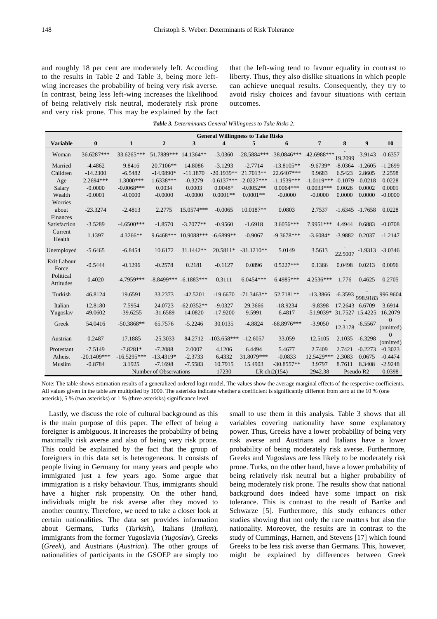and roughly 18 per cent are moderately left. According to the results in Table 2 and Table 3, being more leftwing increases the probability of being very risk averse. In contrast, being less left-wing increases the likelihood of being relatively risk neutral, moderately risk prone and very risk prone. This may be explained by the fact

that the left-wing tend to favour equality in contrast to liberty. Thus, they also dislike situations in which people can achieve unequal results. Consequently, they try to avoid risky choices and favour situations with certain outcomes.

|  |  |  |  | <b>Table 3.</b> Determinants General Willingness to Take Risks 2. |
|--|--|--|--|-------------------------------------------------------------------|
|--|--|--|--|-------------------------------------------------------------------|

|                 | <b>General Willingness to Take Risks</b> |               |                           |              |                         |              |                         |               |                |                    |                           |
|-----------------|------------------------------------------|---------------|---------------------------|--------------|-------------------------|--------------|-------------------------|---------------|----------------|--------------------|---------------------------|
| <b>Variable</b> | $\bf{0}$                                 | 1             | $\mathbf{2}$              | 3            | $\overline{\mathbf{4}}$ | 5            | 6                       | 7             | 8              | 9                  | 10                        |
| Woman           | 36.6287***                               | 33.6265***    | 51.7889***                | 14.1364**    | $-3.0360$               |              | -28.5884*** -38.0846*** | $-42.6988***$ | 19.2099        | $-3.9143$          | $-0.6357$                 |
| Married         | $-4.4862$                                | 9.8416        | 20.7106**                 | 14.8086      | $-3.1293$               | $-2.7714$    | $-13.8105**$            | $-9.6739*$    |                | $-8.0364 - 1.2605$ | $-1.2699$                 |
| Children        | $-14.2300$                               | $-6.5482$     | $-14.9890*$               | $-11.1870$   | $-20.1939**$            | 21.7013**    | 22.6407***              | 9.9683        | 6.5423         | 2.8605             | 2.2598                    |
| Age             | 2.2694***                                | $1.3000***$   | 1.6338***                 | $-0.3279$    | $-0.6137***$            | $-2.0227***$ | $-1.1539***$            | $-1.0119***$  | $-0.1079$      | $-0.0218$          | 0.0228                    |
| Salary          | $-0.0000$                                | $-0.0068***$  | 0.0034                    | 0.0003       | $0.0048*$               | $-0.0052**$  | $0.0064***$             | $0.0033***$   | 0.0026         | 0.0002             | 0.0001                    |
| Wealth          | $-0.0001$                                | $-0.0000$     | $-0.0000$                 | $-0.0000$    | $0.0001**$              | $0.0001**$   | $-0.0000$               | $-0.0000$     | 0.0000         | 0.0000             | $-0.0000$                 |
| Worries         |                                          |               |                           |              |                         |              |                         |               |                |                    |                           |
| about           | $-23.3274$                               | $-2.4813$     | 2.2775                    | 15.0574***   | $-0.0065$               | 10.0187**    | 0.0803                  | 2.7537        |                | $-1.6345 -1.7658$  | 0.0228                    |
| Finances        |                                          |               |                           |              |                         |              |                         |               |                |                    |                           |
| Satisfaction    | $-3.5289$                                | $-4.6500***$  | $-1.8570$                 | $-3.7077**$  | $-0.9560$               | $-1.6918$    | $3.6056***$             | 7.9951***     | 4.4944         | 0.6883             | $-0.0708$                 |
| Current         | 1.1397                                   | 4.3266**      | 9.6468***                 | 10.9088***   | $-6.6899**$             | $-0.9067$    | $-9.3678***$            | $-3.6084*$    | $-3.9882$      | 0.2037             | $-1.2147$                 |
| Health          |                                          |               |                           |              |                         |              |                         |               |                |                    |                           |
| Unemployed      | $-5.6465$                                | $-6.8454$     | 10.6172                   | 31.1442**    | 20.5811*                | $-31.1210**$ | 5.0149                  | 3.5613        |                |                    | $-3.0346$                 |
|                 |                                          |               |                           |              |                         |              |                         |               |                | 22.5007 -1.9313    |                           |
| Exit Labour     | $-0.5444$                                | $-0.1296$     | $-0.2578$                 | 0.2181       | $-0.1127$               | 0.0896       | $0.5227***$             | 0.1366        | 0.0498         | 0.0213             | 0.0096                    |
| Force           |                                          |               |                           |              |                         |              |                         |               |                |                    |                           |
| Political       | 0.4020                                   | $-4.7959***$  | $-8.8499***$ $-6.1883***$ |              | 0.3111                  | $6.0454***$  | 6.4985***               | 4.2536***     | 1.776          | 0.4625             | 0.2705                    |
| Attitudes       |                                          |               |                           |              |                         |              |                         |               |                |                    |                           |
| Turkish         | 46.8124                                  | 19.6591       | 33.2373                   | $-42.5201$   | $-19.6670$              | $-71.3463**$ | 52.7181**               | $-13.3866$    |                |                    |                           |
|                 |                                          |               |                           |              |                         |              |                         |               |                |                    | -6.3593 998.9183 996.9604 |
| Italian         | 12.8180                                  | 7.5954        | 24.0723                   | $-62.0352**$ | $-9.0327$               | 29.3666      | $-18.9234$              | $-9.8398$     | 17.2643 6.6709 |                    | 3.6914                    |
| Yugoslav        | 49.0602                                  | $-39.6255$    | $-31.6589$                | 14.0820      | $-17.9200$              | 9.5991       | 6.4817                  | $-51.9039*$   |                | 31.7527 15.4225    | 16.2079                   |
| Greek           | 54.0416                                  | $-50.3868**$  | 65.7576                   | $-5.2246$    | 30.0135                 | $-4.8824$    | $-68.8976***$           | $-3.9050$     |                |                    | $\overline{0}$            |
|                 |                                          |               |                           |              |                         |              |                         |               |                | 12.3178 -6.5567    | (omitted)                 |
| Austrian        | 0.2487                                   | 17.1885       | $-25.3033$                | 84.2712      | $-103.658***$           | $-12.6057$   | 33.059                  | 12.5105       | 2.1035         | $-6.3298$          | $\overline{0}$            |
|                 |                                          |               |                           |              |                         |              |                         |               |                |                    | (omitted)                 |
| Protestant      | $-7.5149$                                | $-7.8281*$    | $-7.2088$                 | 2.0007       | 4.1206                  | 6.4494       | 5.4677                  | 2.7409        | 2.7421         | $-0.2273$          | $-0.3023$                 |
| Atheist         | $-20.1409***$                            | $-16.5295***$ | $-13.4319*$               | $-2.3733$    | 6.4332                  | 31.8079***   | $-0.0833$               | 12.5429***    | 2.3083         | 0.0675             | $-0.4474$                 |
| Muslim          | $-0.8784$                                | 3.1925        | $-7.1698$                 | $-7.5583$    | 10.7915                 | 15.4903      | $-30.8557**$            | 3.9797        | 8.7611         | 8.3408             | $-2.9248$                 |
|                 |                                          |               | Number of Observations    |              | 17230                   |              | LR chi $2(154)$         | 2942.38       |                | Pseudo R2          | 0.0398                    |

Note: The table shows estimation results of a generalized ordered logit model. The values show the average marginal effects of the respective coefficients. All values given in the table are multiplied by 1000. The asterisks indicate whether a coefficient is significantly different from zero at the 10 % (one asterisk), 5 % (two asterisks) or 1 % (three asterisks) significance level.

Lastly, we discuss the role of cultural background as this is the main purpose of this paper. The effect of being a foreigner is ambiguous. It increases the probability of being maximally risk averse and also of being very risk prone. This could be explained by the fact that the group of foreigners in this data set is heterogeneous. It consists of people living in Germany for many years and people who immigrated just a few years ago. Some argue that immigration is a risky behaviour. Thus, immigrants should have a higher risk propensity. On the other hand, individuals might be risk averse after they moved to another country. Therefore, we need to take a closer look at certain nationalities. The data set provides information about Germans, Turks (*Turkish*), Italians (*Italian*), immigrants from the former Yugoslavia (*Yugoslav*), Greeks (*Greek*), and Austrians (*Austrian*). The other groups of nationalities of participants in the GSOEP are simply too small to use them in this analysis. Table 3 shows that all variables covering nationality have some explanatory power. Thus, Greeks have a lower probability of being very risk averse and Austrians and Italians have a lower probability of being moderately risk averse. Furthermore, Greeks and Yugoslavs are less likely to be moderately risk prone. Turks, on the other hand, have a lower probability of being relatively risk neutral but a higher probability of being moderately risk prone. The results show that national background does indeed have some impact on risk tolerance. This is contrast to the result of Bartke and Schwarze [5]. Furthermore, this study enhances other studies showing that not only the race matters but also the nationality. Moreover, the results are in contrast to the study of Cummings, Harnett, and Stevens [17] which found Greeks to be less risk averse than Germans. This, however, might be explained by differences between Greek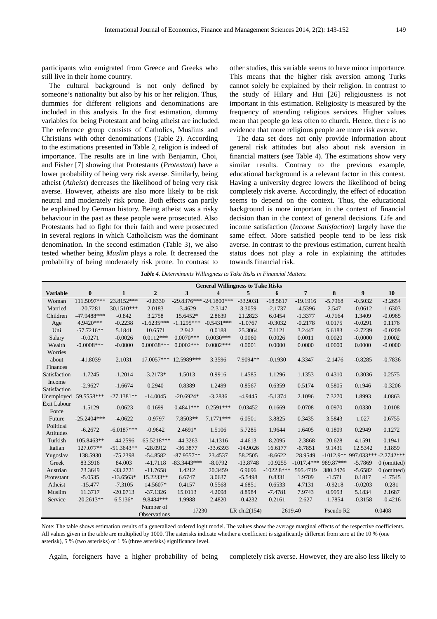participants who emigrated from Greece and Greeks who still live in their home country.

The cultural background is not only defined by someone's nationality but also by his or her religion. Thus, dummies for different religions and denominations are included in this analysis. In the first estimation, dummy variables for being Protestant and being atheist are included. The reference group consists of Catholics, Muslims and Christians with other denominations (Table 2). According to the estimations presented in Table 2, religion is indeed of importance. The results are in line with Benjamin, Choi, and Fisher [7] showing that Protestants (*Protestant*) have a lower probability of being very risk averse. Similarly, being atheist (*Atheist*) decreases the likelihood of being very risk averse. However, atheists are also more likely to be risk neutral and moderately risk prone. Both effects can partly be explained by German history. Being atheist was a risky behaviour in the past as these people were prosecuted. Also Protestants had to fight for their faith and were prosecuted in several regions in which Catholicism was the dominant denomination. In the second estimation (Table 3), we also tested whether being *Muslim* plays a role. It decreased the probability of being moderately risk prone. In contrast to

other studies, this variable seems to have minor importance. This means that the higher risk aversion among Turks cannot solely be explained by their religion. In contrast to the study of Hilary and Hui [26] religiousness is not important in this estimation. Religiosity is measured by the frequency of attending religious services. Higher values mean that people go less often to church. Hence, there is no evidence that more religious people are more risk averse.

The data set does not only provide information about general risk attitudes but also about risk aversion in financial matters (see Table 4). The estimations show very similar results. Contrary to the previous example, educational background is a relevant factor in this context. Having a university degree lowers the likelihood of being completely risk averse. Accordingly, the effect of education seems to depend on the context. Thus, the educational background is more important in the context of financial decision than in the context of general decisions. Life and income satisfaction (*Income Satisfaction*) largely have the same effect. More satisfied people tend to be less risk averse. In contrast to the previous estimation, current health status does not play a role in explaining the attitudes towards financial risk.

*Table 4. Determinants Willingness to Take Risks in Financial Matters.* 

|                        | <b>General Willingness to Take Risks</b> |              |                           |                           |                         |                 |              |                |                       |                                   |               |
|------------------------|------------------------------------------|--------------|---------------------------|---------------------------|-------------------------|-----------------|--------------|----------------|-----------------------|-----------------------------------|---------------|
| <b>Variable</b>        | $\bf{0}$                                 | $\mathbf{1}$ | $\overline{2}$            | 3                         | $\overline{\mathbf{4}}$ | 5               | 6            | $\overline{7}$ | 8                     | 9                                 | 10            |
| Woman                  | 111.5097***                              | 23.8152***   | $-0.8330$                 | $-29.8376*** -24.1800***$ |                         | $-33.9031$      | $-18.5817$   | $-19.1916$     | $-5.7968$             | $-0.5032$                         | $-3.2654$     |
| Married                | $-20.7281$                               | 30.1510***   | 2.0183                    | $-3.4629$                 | $-2.3147$               | 3.3059          | $-2.1737$    | $-4.5396$      | 2.547                 | $-0.0612$                         | $-1.6303$     |
| Children               | $-47.9488***$                            | $-0.842$     | 3.2758                    | 15.6452*                  | 2.8639                  | 21.2823         | 6.0454       | $-1.3377$      | $-0.7164$             | 1.3409                            | $-0.0965$     |
| Age                    | 4.9420***                                | $-0.2238$    | $-1.6235***$              | $-1.1295***$              | $-0.5431***$            | $-1.0767$       | $-0.3032$    | $-0.2178$      | 0.0175                | $-0.0291$                         | 0.1176        |
| Uni                    | $-57.7216**$                             | 5.1841       | 10.6571                   | 2.942                     | 0.0188                  | 25.3064         | 7.1121       | 3.2447         | 5.6183                | $-2.7239$                         | $-0.0209$     |
| Salary                 | $-0.0271$                                | $-0.0026$    | $0.0112***$               | $0.0070***$               | $0.0030***$             | 0.0060          | 0.0026       | 0.0011         | 0.0020                | $-0.0000$                         | 0.0002        |
| Wealth                 | $-0.0008$ ***                            | $-0.0000$    | $0.00038***$              | $0.0002***$               | $0.0002***$             | 0.0001          | 0.0000       | 0.0000         | 0.0000                | 0.0000                            | $-0.0000$     |
| Worries                |                                          |              |                           |                           |                         |                 |              |                |                       |                                   |               |
| about                  | $-41.8039$                               | 2.1031       | 17.0057***                | 12.5989***                | 3.3596                  | 7.9094**        | $-0.1930$    | 4.3347         | $-2.1476$             | $-0.8285$                         | $-0.7836$     |
| Finances               |                                          |              |                           |                           |                         |                 |              |                |                       |                                   |               |
| Satisfaction           | $-1.7245$                                | $-1.2014$    | $-3.2173*$                | 1.5013                    | 0.9916                  | 1.4585          | 1.1296       | 1.1353         | 0.4310                | $-0.3036$                         | 0.2575        |
| Income                 | $-2.9627$                                | $-1.6674$    | 0.2940                    | 0.8389                    | 1.2499                  | 0.8567          | 0.6359       | 0.5174         | 0.5805                | 0.1946                            | $-0.3206$     |
| Satisfaction           |                                          |              |                           |                           |                         |                 |              |                |                       |                                   |               |
| Unemployed             | 59.5558***                               | $-27.1381**$ | $-14.0045$                | $-20.6924*$               | $-3.2836$               | $-4.9445$       | $-5.1374$    | 2.1096         | 7.3270                | 1.8993                            | 4.0863        |
| Exit Labour<br>Force   | $-1.5129$                                | $-0.0623$    | 0.1699                    | $0.4841***$               | $0.2591***$             | 0.03452         | 0.1669       | 0.0708         | 0.0970                | 0.0330                            | 0.0108        |
| Future                 | $-25.2404***$                            | $-4.0622$    | $-0.9797$                 | 7.8503**                  | $7.1771***$             | 6.0501          | 3.8825       | 0.3435         | 3.5843                | 1.027                             | 0.6755        |
| Political<br>Attitudes | $-6.2672$                                | $-6.0187***$ | $-0.9642$                 | $2.4691*$                 | 1.5106                  | 5.7285          | 1.9644       | 1.6405         | 0.1809                | 0.2949                            | 0.1272        |
| Turkish                | 105.8463**                               | $-44.2596$   | $-65.5218***$             | $-44.3263$                | 14.1316                 | 4.4613          | 8.2095       | $-2.3868$      | 20.628                | 4.1591                            | 0.1941        |
| Italian                | 127.077**                                | $-51.3643**$ | $-28.0912$                | $-36.3877$                | $-33.6393$              | $-14.9026$      | 16.6177      | $-6.7851$      | 9.1431                | 12.5342                           | 3.1859        |
| Yugoslav               | 138.5930                                 | $-75.2398$   | $-54.8582$                | $-87.9557**$              | 23.4537                 | 58.2505         | $-8.6622$    | 28.9549        |                       | $-1012.9**$ 997.033*** -2.2742*** |               |
| Greek                  | 83.3916                                  | 84.003       | $-41.7118$                | $-83.3443***$             | $-8.0792$               | $-13.8748$      | 10.9255      | $-1017.4***$   | 989.87***             | $-5.7869$                         | $0$ (omitted) |
| Austrian               | 73.3649                                  | $-33.2721$   | $-11.7658$                | 1.4212                    | 20.3459                 | 6.9696          | $-1022.8***$ | 595.4719       | 380.2476              | $-5.6582$                         | $0$ (omitted) |
| Protestant             | $-5.0535$                                | $-13.6563*$  | 15.2233**                 | 6.6747                    | 3.0637                  | $-5.5498$       | 0.8331       | 1.9709         | $-1.571$              | 0.1817                            | $-1.7545$     |
| Atheist                | $-15.477$                                | $-7.3105$    | 14.5607*                  | 0.4157                    | 0.5568                  | 4.6851          | 0.6533       | 4.7131         | $-0.9218$             | $-0.0203$                         | 0.281         |
| Muslim                 | 11.3717                                  | $-20.0713$   | $-37.1326$                | 15.0113                   | 4.2098                  | 8.8984          | $-7.4781$    | 7.9743         | 0.9953                | 5.1834                            | 2.1687        |
| Service                | $-20.2613**$                             | 6.5136*      | 9.8484***                 | 1.9988                    | 2.4820                  | $-0.4232$       | 0.2161       | 2.627          | $-1.7854$             | $-0.3158$                         | $-0.4216$     |
|                        |                                          |              | Number of<br>Observations | 17230                     |                         | LR chi $2(154)$ | 2619.40      |                | Pseudo R <sub>2</sub> |                                   | 0.0408        |

Note: The table shows estimation results of a generalized ordered logit model. The values show the average marginal effects of the respective coefficients. All values given in the table are multiplied by 1000. The asterisks indicate whether a coefficient is significantly different from zero at the 10 % (one asterisk), 5 % (two asterisks) or 1 % (three asterisks) significance level.

Again, foreigners have a higher probability of being completely risk averse. However, they are also less likely to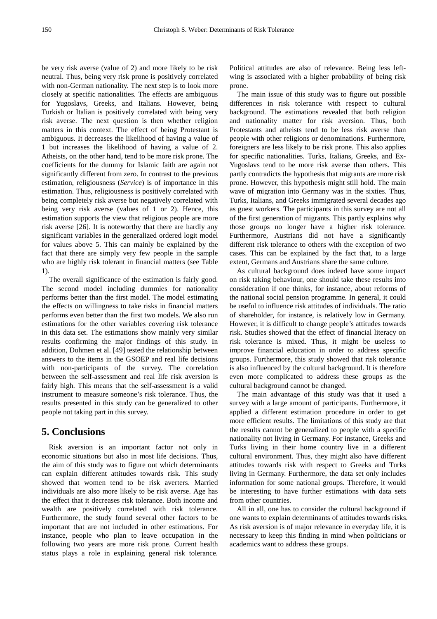be very risk averse (value of 2) and more likely to be risk neutral. Thus, being very risk prone is positively correlated with non-German nationality. The next step is to look more closely at specific nationalities. The effects are ambiguous for Yugoslavs, Greeks, and Italians. However, being Turkish or Italian is positively correlated with being very risk averse. The next question is then whether religion matters in this context. The effect of being Protestant is ambiguous. It decreases the likelihood of having a value of 1 but increases the likelihood of having a value of 2. Atheists, on the other hand, tend to be more risk prone. The coefficients for the dummy for Islamic faith are again not significantly different from zero. In contrast to the previous estimation, religiousness (*Service*) is of importance in this estimation. Thus, religiousness is positively correlated with being completely risk averse but negatively correlated with being very risk averse (values of 1 or 2). Hence, this estimation supports the view that religious people are more risk averse [26]. It is noteworthy that there are hardly any significant variables in the generalized ordered logit model for values above 5. This can mainly be explained by the fact that there are simply very few people in the sample who are highly risk tolerant in financial matters (see Table 1).

The overall significance of the estimation is fairly good. The second model including dummies for nationality performs better than the first model. The model estimating the effects on willingness to take risks in financial matters performs even better than the first two models. We also run estimations for the other variables covering risk tolerance in this data set. The estimations show mainly very similar results confirming the major findings of this study. In addition, Dohmen et al. [49] tested the relationship between answers to the items in the GSOEP and real life decisions with non-participants of the survey. The correlation between the self-assessment and real life risk aversion is fairly high. This means that the self-assessment is a valid instrument to measure someone's risk tolerance. Thus, the results presented in this study can be generalized to other people not taking part in this survey.

## **5. Conclusions**

Risk aversion is an important factor not only in economic situations but also in most life decisions. Thus, the aim of this study was to figure out which determinants can explain different attitudes towards risk. This study showed that women tend to be risk averters. Married individuals are also more likely to be risk averse. Age has the effect that it decreases risk tolerance. Both income and wealth are positively correlated with risk tolerance. Furthermore, the study found several other factors to be important that are not included in other estimations. For instance, people who plan to leave occupation in the following two years are more risk prone. Current health status plays a role in explaining general risk tolerance.

Political attitudes are also of relevance. Being less leftwing is associated with a higher probability of being risk prone.

The main issue of this study was to figure out possible differences in risk tolerance with respect to cultural background. The estimations revealed that both religion and nationality matter for risk aversion. Thus, both Protestants and atheists tend to be less risk averse than people with other religions or denominations. Furthermore, foreigners are less likely to be risk prone. This also applies for specific nationalities. Turks, Italians, Greeks, and Ex-Yugoslavs tend to be more risk averse than others. This partly contradicts the hypothesis that migrants are more risk prone. However, this hypothesis might still hold. The main wave of migration into Germany was in the sixties. Thus, Turks, Italians, and Greeks immigrated several decades ago as guest workers. The participants in this survey are not all of the first generation of migrants. This partly explains why those groups no longer have a higher risk tolerance. Furthermore, Austrians did not have a significantly different risk tolerance to others with the exception of two cases. This can be explained by the fact that, to a large extent, Germans and Austrians share the same culture.

As cultural background does indeed have some impact on risk taking behaviour, one should take these results into consideration if one thinks, for instance, about reforms of the national social pension programme. In general, it could be useful to influence risk attitudes of individuals. The ratio of shareholder, for instance, is relatively low in Germany. However, it is difficult to change people's attitudes towards risk. Studies showed that the effect of financial literacy on risk tolerance is mixed. Thus, it might be useless to improve financial education in order to address specific groups. Furthermore, this study showed that risk tolerance is also influenced by the cultural background. It is therefore even more complicated to address these groups as the cultural background cannot be changed.

The main advantage of this study was that it used a survey with a large amount of participants. Furthermore, it applied a different estimation procedure in order to get more efficient results. The limitations of this study are that the results cannot be generalized to people with a specific nationality not living in Germany. For instance, Greeks and Turks living in their home country live in a different cultural environment. Thus, they might also have different attitudes towards risk with respect to Greeks and Turks living in Germany. Furthermore, the data set only includes information for some national groups. Therefore, it would be interesting to have further estimations with data sets from other countries.

All in all, one has to consider the cultural background if one wants to explain determinants of attitudes towards risks. As risk aversion is of major relevance in everyday life, it is necessary to keep this finding in mind when politicians or academics want to address these groups.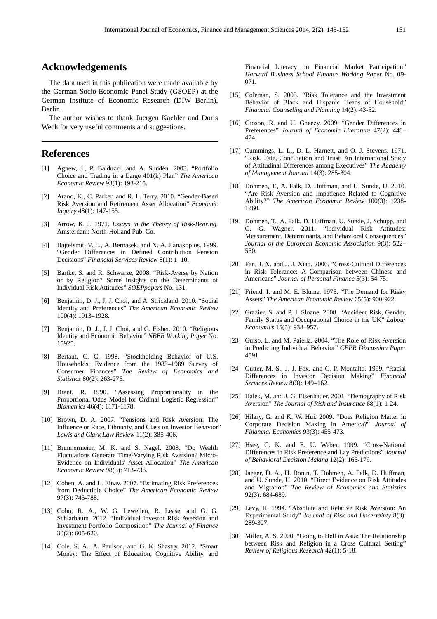# **Acknowledgements**

The data used in this publication were made available by the German Socio-Economic Panel Study (GSOEP) at the German Institute of Economic Research (DIW Berlin), Berlin.

The author wishes to thank Juergen Kaehler and Doris Weck for very useful comments and suggestions.

## **References**

- [1] Agnew, J., P. Balduzzi, and A. Sundén. 2003. "Portfolio Choice and Trading in a Large 401(k) Plan" *The American Economic Review* 93(1): 193-215.
- [2] Arano, K., C. Parker, and R. L. Terry. 2010. "Gender-Based Risk Aversion and Retirement Asset Allocation" *Economic Inquiry* 48(1): 147-155.
- [3] Arrow, K. J. 1971. *Essays in the Theory of Risk-Bearing.* Amsterdam: North-Holland Pub. Co.
- [4] Bajtelsmit, V. L., A. Bernasek, and N. A. Jianakoplos. 1999. "Gender Differences in Defined Contribution Pension Decisions" *Financial Services Review* 8(1): 1–10.
- [5] Bartke, S. and R. Schwarze, 2008. "Risk-Averse by Nation or by Religion? Some Insights on the Determinants of Individual Risk Attitudes" *SOEPpapers* No. 131.
- [6] Benjamin, D. J., J. J. Choi, and A. Strickland. 2010. "Social Identity and Preferences" *The American Economic Review* 100(4): 1913–1928.
- [7] Benjamin, D. J., J. J. Choi, and G. Fisher. 2010. "Religious Identity and Economic Behavior" *NBER Working Paper* No. 15925.
- [8] Bertaut, C. C. 1998. "Stockholding Behavior of U.S. Households: Evidence from the 1983–1989 Survey of Consumer Finances" *The Review of Economics and Statistics* 80(2): 263-275.
- [9] Brant, R. 1990. "Assessing Proportionality in the Proportional Odds Model for Ordinal Logistic Regression" *Biometrics* 46(4): 1171-1178.
- [10] Brown, D. A. 2007. "Pensions and Risk Aversion: The Influence or Race, Ethnicity, and Class on Investor Behavior" *Lewis and Clark Law Review* 11(2): 385-406.
- [11] Brunnermeier, M. K. and S. Nagel. 2008. "Do Wealth Fluctuations Generate Time-Varying Risk Aversion? Micro-Evidence on Individuals' Asset Allocation" *The American Economic Review* 98(3): 713-736.
- [12] Cohen, A. and L. Einav. 2007. "Estimating Risk Preferences from Deductible Choice" *The American Economic Review* 97(3): 745-788.
- [13] Cohn, R. A., W. G. Lewellen, R. Lease, and G. G. Schlarbaum. 2012. "Individual Investor Risk Aversion and Investment Portfolio Composition" *The Journal of Finance* 30(2): 605-620.
- [14] Cole, S. A., A. Paulson, and G. K. Shastry. 2012. "Smart Money: The Effect of Education, Cognitive Ability, and

Financial Literacy on Financial Market Participation" *Harvard Business School Finance Working Paper* No. 09- 071.

- [15] Coleman, S. 2003. "Risk Tolerance and the Investment Behavior of Black and Hispanic Heads of Household" *Financial Counseling and Planning* 14(2): 43-52.
- [16] Croson, R. and U. Gneezy. 2009. "Gender Differences in Preferences" *Journal of Economic Literature* 47(2): 448– 474.
- [17] Cummings, L. L., D. L. Harnett, and O. J. Stevens. 1971. "Risk, Fate, Conciliation and Trust: An International Study of Attitudinal Differences among Executives" *The Academy of Management Journal* 14(3): 285-304.
- [18] Dohmen, T., A. Falk, D. Huffman, and U. Sunde, U. 2010. "Are Risk Aversion and Impatience Related to Cognitive Ability?" *The American Economic Review* 100(3): 1238- 1260.
- [19] Dohmen, T., A. Falk, D. Huffman, U. Sunde, J. Schupp, and G. G. Wagner. 2011. "Individual Risk Attitudes: Measurement, Determinants, and Behavioral Consequences" *Journal of the European Economic Association* 9(3): 522– 550.
- [20] Fan, J. X. and J. J. Xiao. 2006. "Cross-Cultural Differences in Risk Tolerance: A Comparison between Chinese and Americans" *Journal of Personal Finance* 5(3): 54-75.
- [21] Friend, I. and M. E. Blume. 1975. "The Demand for Risky Assets" *The American Economic Review* 65(5): 900-922.
- [22] Grazier, S. and P. J. Sloane. 2008. "Accident Risk, Gender, Family Status and Occupational Choice in the UK" *Labour Economics* 15(5): 938–957.
- [23] Guiso, L. and M. Paiella. 2004. "The Role of Risk Aversion in Predicting Individual Behavior" *CEPR Discussion Paper* 4591.
- [24] Gutter, M. S., J. J. Fox, and C. P. Montalto. 1999. "Racial Differences in Investor Decision Making" *Financial Services Review* 8(3): 149–162.
- [25] Halek, M. and J. G. Eisenhauer. 2001. "Demography of Risk Aversion" *The Journal of Risk and Insurance* 68(1): 1-24.
- [26] Hilary, G. and K. W. Hui. 2009. "Does Religion Matter in Corporate Decision Making in America?" *Journal of Financial Economics* 93(3): 455-473.
- [27] Hsee, C. K. and E. U. Weber. 1999. "Cross-National Differences in Risk Preference and Lay Predictions" *Journal of Behavioral Decision Making* 12(2): 165-179.
- [28] Jaeger, D. A., H. Bonin, T. Dohmen, A. Falk, D. Huffman, and U. Sunde, U. 2010. "Direct Evidence on Risk Attitudes and Migration" *The Review of Economics and Statistics* 92(3): 684-689.
- [29] Levy, H. 1994. "Absolute and Relative Risk Aversion: An Experimental Study" *Journal of Risk and Uncertainty* 8(3): 289-307.
- [30] Miller, A. S. 2000. "Going to Hell in Asia: The Relationship between Risk and Religion in a Cross Cultural Setting" *Review of Religious Research* 42(1): 5-18.